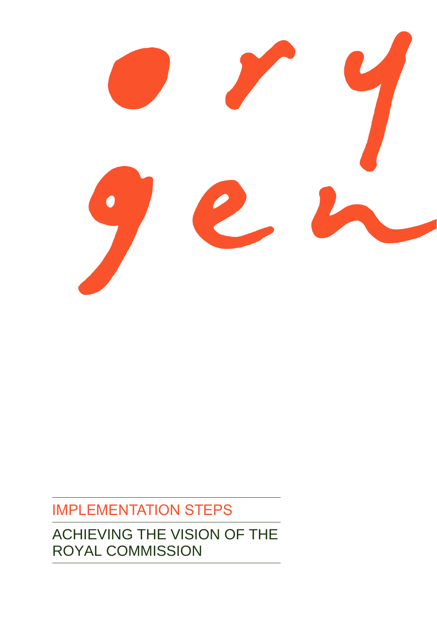

# IMPLEMENTATION STEPS

ACHIEVING THE VISION OF THE ROYAL COMMISSION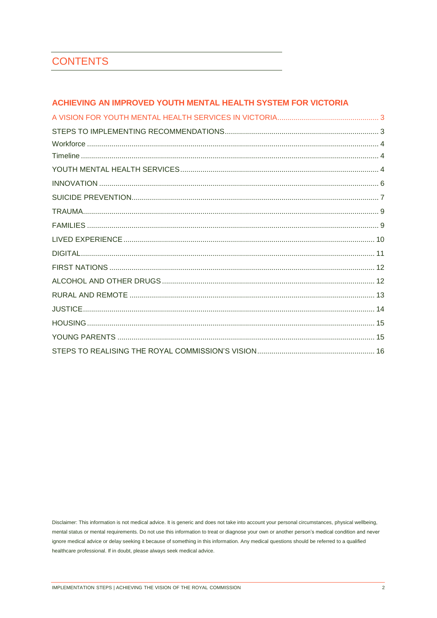# **CONTENTS**

### ACHIEVING AN IMPROVED YOUTH MENTAL HEALTH SYSTEM FOR VICTORIA

Disclaimer: This information is not medical advice. It is generic and does not take into account your personal circumstances, physical wellbeing, mental status or mental requirements. Do not use this information to treat or diagnose your own or another person's medical condition and never ignore medical advice or delay seeking it because of something in this information. Any medical questions should be referred to a qualified healthcare professional. If in doubt, please always seek medical advice.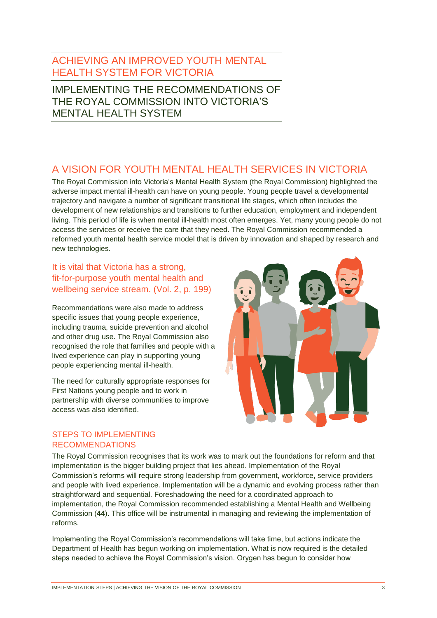# <span id="page-2-0"></span>ACHIEVING AN IMPROVED YOUTH MENTAL HEALTH SYSTEM FOR VICTORIA

IMPLEMENTING THE RECOMMENDATIONS OF THE ROYAL COMMISSION INTO VICTORIA'S MENTAL HEALTH SYSTEM

# <span id="page-2-1"></span>A VISION FOR YOUTH MENTAL HEALTH SERVICES IN VICTORIA

The Royal Commission into Victoria's Mental Health System (the Royal Commission) highlighted the adverse impact mental ill-health can have on young people. Young people travel a developmental trajectory and navigate a number of significant transitional life stages, which often includes the development of new relationships and transitions to further education, employment and independent living. This period of life is when mental ill-health most often emerges. Yet, many young people do not access the services or receive the care that they need. The Royal Commission recommended a reformed youth mental health service model that is driven by innovation and shaped by research and new technologies.

# It is vital that Victoria has a strong, fit-for-purpose youth mental health and wellbeing service stream. (Vol. 2, p. 199)

Recommendations were also made to address specific issues that young people experience, including trauma, suicide prevention and alcohol and other drug use. The Royal Commission also recognised the role that families and people with a lived experience can play in supporting young people experiencing mental ill-health.

The need for culturally appropriate responses for First Nations young people and to work in partnership with diverse communities to improve access was also identified.



#### <span id="page-2-2"></span>STEPS TO IMPLEMENTING RECOMMENDATIONS

The Royal Commission recognises that its work was to mark out the foundations for reform and that implementation is the bigger building project that lies ahead. Implementation of the Royal Commission's reforms will require strong leadership from government, workforce, service providers and people with lived experience. Implementation will be a dynamic and evolving process rather than straightforward and sequential. Foreshadowing the need for a coordinated approach to implementation, the Royal Commission recommended establishing a Mental Health and Wellbeing Commission (**44**). This office will be instrumental in managing and reviewing the implementation of reforms.

Implementing the Royal Commission's recommendations will take time, but actions indicate the Department of Health has begun working on implementation. What is now required is the detailed steps needed to achieve the Royal Commission's vision. Orygen has begun to consider how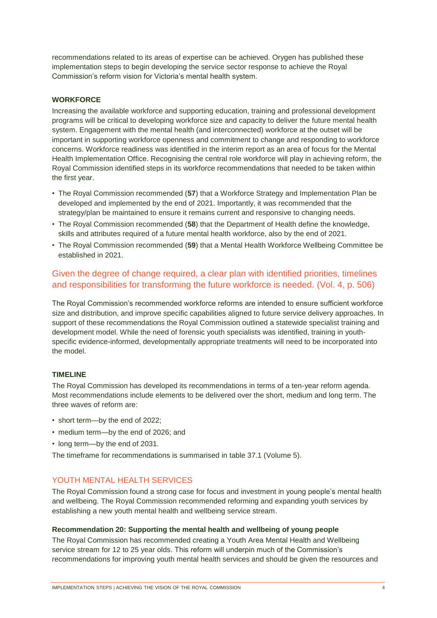recommendations related to its areas of expertise can be achieved. Orygen has published these implementation steps to begin developing the service sector response to achieve the Royal Commission's reform vision for Victoria's mental health system.

#### <span id="page-3-0"></span>**WORKFORCE**

Increasing the available workforce and supporting education, training and professional development programs will be critical to developing workforce size and capacity to deliver the future mental health system. Engagement with the mental health (and interconnected) workforce at the outset will be important in supporting workforce openness and commitment to change and responding to workforce concerns. Workforce readiness was identified in the interim report as an area of focus for the Mental Health Implementation Office. Recognising the central role workforce will play in achieving reform, the Royal Commission identified steps in its workforce recommendations that needed to be taken within the first year.

- The Royal Commission recommended (**57**) that a Workforce Strategy and Implementation Plan be developed and implemented by the end of 2021. Importantly, it was recommended that the strategy/plan be maintained to ensure it remains current and responsive to changing needs.
- The Royal Commission recommended (**58**) that the Department of Health define the knowledge, skills and attributes required of a future mental health workforce, also by the end of 2021.
- The Royal Commission recommended (**59**) that a Mental Health Workforce Wellbeing Committee be established in 2021.

# Given the degree of change required, a clear plan with identified priorities, timelines and responsibilities for transforming the future workforce is needed. (Vol. 4, p. 506)

The Royal Commission's recommended workforce reforms are intended to ensure sufficient workforce size and distribution, and improve specific capabilities aligned to future service delivery approaches. In support of these recommendations the Royal Commission outlined a statewide specialist training and development model. While the need of forensic youth specialists was identified, training in youthspecific evidence-informed, developmentally appropriate treatments will need to be incorporated into the model.

#### <span id="page-3-1"></span>**TIMELINE**

The Royal Commission has developed its recommendations in terms of a ten-year reform agenda. Most recommendations include elements to be delivered over the short, medium and long term. The three waves of reform are:

- short term—by the end of 2022;
- medium term—by the end of 2026; and
- long term—by the end of 2031.

The timeframe for recommendations is summarised in table 37.1 (Volume 5).

#### <span id="page-3-2"></span>YOUTH MENTAL HEALTH SERVICES

The Royal Commission found a strong case for focus and investment in young people's mental health and wellbeing. The Royal Commission recommended reforming and expanding youth services by establishing a new youth mental health and wellbeing service stream.

#### **Recommendation 20: Supporting the mental health and wellbeing of young people**

The Royal Commission has recommended creating a Youth Area Mental Health and Wellbeing service stream for 12 to 25 year olds. This reform will underpin much of the Commission's recommendations for improving youth mental health services and should be given the resources and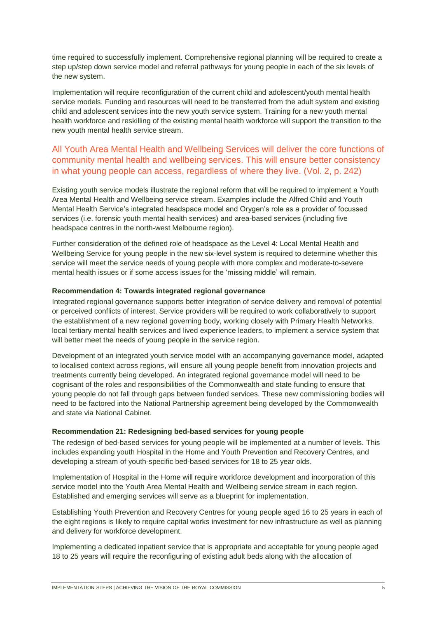time required to successfully implement. Comprehensive regional planning will be required to create a step up/step down service model and referral pathways for young people in each of the six levels of the new system.

Implementation will require reconfiguration of the current child and adolescent/youth mental health service models. Funding and resources will need to be transferred from the adult system and existing child and adolescent services into the new youth service system. Training for a new youth mental health workforce and reskilling of the existing mental health workforce will support the transition to the new youth mental health service stream.

# All Youth Area Mental Health and Wellbeing Services will deliver the core functions of community mental health and wellbeing services. This will ensure better consistency in what young people can access, regardless of where they live. (Vol. 2, p. 242)

Existing youth service models illustrate the regional reform that will be required to implement a Youth Area Mental Health and Wellbeing service stream. Examples include the Alfred Child and Youth Mental Health Service's integrated headspace model and Orygen's role as a provider of focussed services (i.e. forensic youth mental health services) and area-based services (including five headspace centres in the north-west Melbourne region).

Further consideration of the defined role of headspace as the Level 4: Local Mental Health and Wellbeing Service for young people in the new six-level system is required to determine whether this service will meet the service needs of young people with more complex and moderate-to-severe mental health issues or if some access issues for the 'missing middle' will remain.

#### **Recommendation 4: Towards integrated regional governance**

Integrated regional governance supports better integration of service delivery and removal of potential or perceived conflicts of interest. Service providers will be required to work collaboratively to support the establishment of a new regional governing body, working closely with Primary Health Networks, local tertiary mental health services and lived experience leaders, to implement a service system that will better meet the needs of young people in the service region.

Development of an integrated youth service model with an accompanying governance model, adapted to localised context across regions, will ensure all young people benefit from innovation projects and treatments currently being developed. An integrated regional governance model will need to be cognisant of the roles and responsibilities of the Commonwealth and state funding to ensure that young people do not fall through gaps between funded services. These new commissioning bodies will need to be factored into the National Partnership agreement being developed by the Commonwealth and state via National Cabinet.

#### **Recommendation 21: Redesigning bed-based services for young people**

The redesign of bed-based services for young people will be implemented at a number of levels. This includes expanding youth Hospital in the Home and Youth Prevention and Recovery Centres, and developing a stream of youth-specific bed-based services for 18 to 25 year olds.

Implementation of Hospital in the Home will require workforce development and incorporation of this service model into the Youth Area Mental Health and Wellbeing service stream in each region. Established and emerging services will serve as a blueprint for implementation.

Establishing Youth Prevention and Recovery Centres for young people aged 16 to 25 years in each of the eight regions is likely to require capital works investment for new infrastructure as well as planning and delivery for workforce development.

Implementing a dedicated inpatient service that is appropriate and acceptable for young people aged 18 to 25 years will require the reconfiguring of existing adult beds along with the allocation of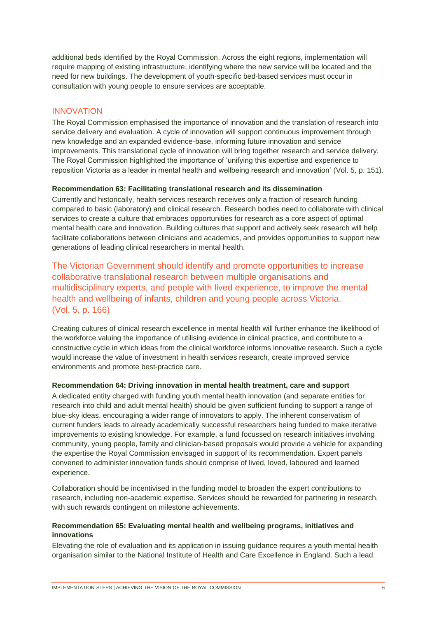additional beds identified by the Royal Commission. Across the eight regions, implementation will require mapping of existing infrastructure, identifying where the new service will be located and the need for new buildings. The development of youth-specific bed-based services must occur in consultation with young people to ensure services are acceptable.

#### <span id="page-5-0"></span>INNOVATION

The Royal Commission emphasised the importance of innovation and the translation of research into service delivery and evaluation. A cycle of innovation will support continuous improvement through new knowledge and an expanded evidence-base, informing future innovation and service improvements. This translational cycle of innovation will bring together research and service delivery. The Royal Commission highlighted the importance of 'unifying this expertise and experience to reposition Victoria as a leader in mental health and wellbeing research and innovation' (Vol. 5, p. 151).

#### **Recommendation 63: Facilitating translational research and its dissemination**

Currently and historically, health services research receives only a fraction of research funding compared to basic (laboratory) and clinical research. Research bodies need to collaborate with clinical services to create a culture that embraces opportunities for research as a core aspect of optimal mental health care and innovation. Building cultures that support and actively seek research will help facilitate collaborations between clinicians and academics, and provides opportunities to support new generations of leading clinical researchers in mental health.

The Victorian Government should identify and promote opportunities to increase collaborative translational research between multiple organisations and multidisciplinary experts, and people with lived experience, to improve the mental health and wellbeing of infants, children and young people across Victoria. (Vol. 5, p. 166)

Creating cultures of clinical research excellence in mental health will further enhance the likelihood of the workforce valuing the importance of utilising evidence in clinical practice, and contribute to a constructive cycle in which ideas from the clinical workforce informs innovative research. Such a cycle would increase the value of investment in health services research, create improved service environments and promote best-practice care.

#### **Recommendation 64: Driving innovation in mental health treatment, care and support**

A dedicated entity charged with funding youth mental health innovation (and separate entities for research into child and adult mental health) should be given sufficient funding to support a range of blue-sky ideas, encouraging a wider range of innovators to apply. The inherent conservatism of current funders leads to already academically successful researchers being funded to make iterative improvements to existing knowledge. For example, a fund focussed on research initiatives involving community, young people, family and clinician-based proposals would provide a vehicle for expanding the expertise the Royal Commission envisaged in support of its recommendation. Expert panels convened to administer innovation funds should comprise of lived, loved, laboured and learned experience.

Collaboration should be incentivised in the funding model to broaden the expert contributions to research, including non-academic expertise. Services should be rewarded for partnering in research, with such rewards contingent on milestone achievements.

#### **Recommendation 65: Evaluating mental health and wellbeing programs, initiatives and innovations**

Elevating the role of evaluation and its application in issuing guidance requires a youth mental health organisation similar to the National Institute of Health and Care Excellence in England. Such a lead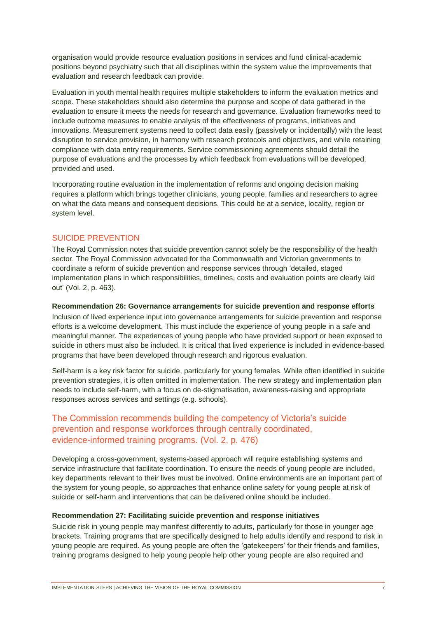organisation would provide resource evaluation positions in services and fund clinical-academic positions beyond psychiatry such that all disciplines within the system value the improvements that evaluation and research feedback can provide.

Evaluation in youth mental health requires multiple stakeholders to inform the evaluation metrics and scope. These stakeholders should also determine the purpose and scope of data gathered in the evaluation to ensure it meets the needs for research and governance. Evaluation frameworks need to include outcome measures to enable analysis of the effectiveness of programs, initiatives and innovations. Measurement systems need to collect data easily (passively or incidentally) with the least disruption to service provision, in harmony with research protocols and objectives, and while retaining compliance with data entry requirements. Service commissioning agreements should detail the purpose of evaluations and the processes by which feedback from evaluations will be developed, provided and used.

Incorporating routine evaluation in the implementation of reforms and ongoing decision making requires a platform which brings together clinicians, young people, families and researchers to agree on what the data means and consequent decisions. This could be at a service, locality, region or system level.

#### <span id="page-6-0"></span>SUICIDE PREVENTION

The Royal Commission notes that suicide prevention cannot solely be the responsibility of the health sector. The Royal Commission advocated for the Commonwealth and Victorian governments to coordinate a reform of suicide prevention and response services through 'detailed, staged implementation plans in which responsibilities, timelines, costs and evaluation points are clearly laid out' (Vol. 2, p. 463).

#### **Recommendation 26: Governance arrangements for suicide prevention and response efforts**

Inclusion of lived experience input into governance arrangements for suicide prevention and response efforts is a welcome development. This must include the experience of young people in a safe and meaningful manner. The experiences of young people who have provided support or been exposed to suicide in others must also be included. It is critical that lived experience is included in evidence-based programs that have been developed through research and rigorous evaluation.

Self-harm is a key risk factor for suicide, particularly for young females. While often identified in suicide prevention strategies, it is often omitted in implementation. The new strategy and implementation plan needs to include self-harm, with a focus on de-stigmatisation, awareness-raising and appropriate responses across services and settings (e.g. schools).

# The Commission recommends building the competency of Victoria's suicide prevention and response workforces through centrally coordinated, evidence‑informed training programs. (Vol. 2, p. 476)

Developing a cross-government, systems-based approach will require establishing systems and service infrastructure that facilitate coordination. To ensure the needs of young people are included, key departments relevant to their lives must be involved. Online environments are an important part of the system for young people, so approaches that enhance online safety for young people at risk of suicide or self-harm and interventions that can be delivered online should be included.

#### **Recommendation 27: Facilitating suicide prevention and response initiatives**

Suicide risk in young people may manifest differently to adults, particularly for those in younger age brackets. Training programs that are specifically designed to help adults identify and respond to risk in young people are required. As young people are often the 'gatekeepers' for their friends and families, training programs designed to help young people help other young people are also required and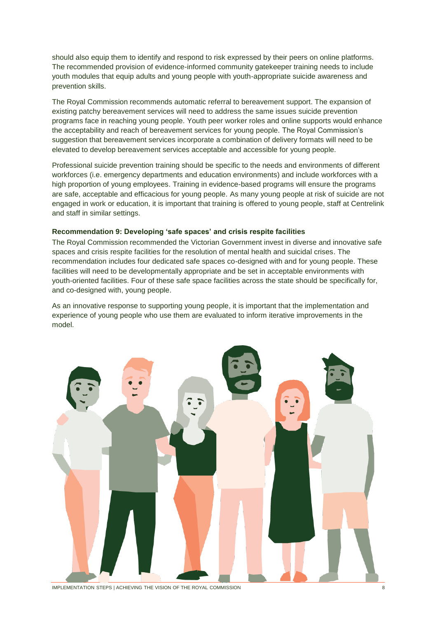should also equip them to identify and respond to risk expressed by their peers on online platforms. The recommended provision of evidence-informed community gatekeeper training needs to include youth modules that equip adults and young people with youth-appropriate suicide awareness and prevention skills.

The Royal Commission recommends automatic referral to bereavement support. The expansion of existing patchy bereavement services will need to address the same issues suicide prevention programs face in reaching young people. Youth peer worker roles and online supports would enhance the acceptability and reach of bereavement services for young people. The Royal Commission's suggestion that bereavement services incorporate a combination of delivery formats will need to be elevated to develop bereavement services acceptable and accessible for young people.

Professional suicide prevention training should be specific to the needs and environments of different workforces (i.e. emergency departments and education environments) and include workforces with a high proportion of young employees. Training in evidence-based programs will ensure the programs are safe, acceptable and efficacious for young people. As many young people at risk of suicide are not engaged in work or education, it is important that training is offered to young people, staff at Centrelink and staff in similar settings.

#### **Recommendation 9: Developing 'safe spaces' and crisis respite facilities**

The Royal Commission recommended the Victorian Government invest in diverse and innovative safe spaces and crisis respite facilities for the resolution of mental health and suicidal crises. The recommendation includes four dedicated safe spaces co-designed with and for young people. These facilities will need to be developmentally appropriate and be set in acceptable environments with youth-oriented facilities. Four of these safe space facilities across the state should be specifically for, and co-designed with, young people.

As an innovative response to supporting young people, it is important that the implementation and experience of young people who use them are evaluated to inform iterative improvements in the model.



IMPLEMENTATION STEPS | ACHIEVING THE VISION OF THE ROYAL COMMISSION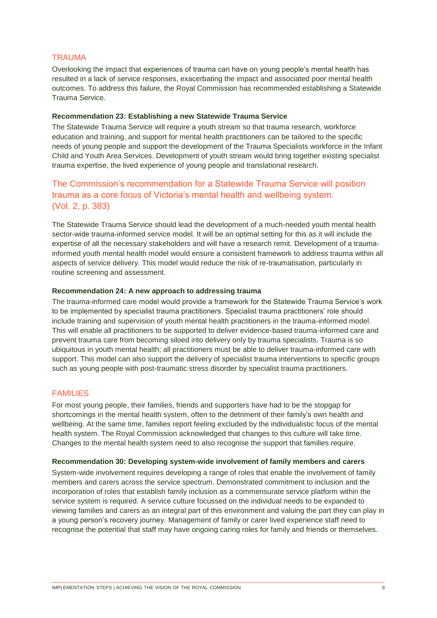#### <span id="page-8-0"></span>**TRAUMA**

Overlooking the impact that experiences of trauma can have on young people's mental health has resulted in a lack of service responses, exacerbating the impact and associated poor mental health outcomes. To address this failure, the Royal Commission has recommended establishing a Statewide Trauma Service.

#### **Recommendation 23: Establishing a new Statewide Trauma Service**

The Statewide Trauma Service will require a youth stream so that trauma research, workforce education and training, and support for mental health practitioners can be tailored to the specific needs of young people and support the development of the Trauma Specialists workforce in the Infant Child and Youth Area Services. Development of youth stream would bring together existing specialist trauma expertise, the lived experience of young people and translational research.

# The Commission's recommendation for a Statewide Trauma Service will position trauma as a core focus of Victoria's mental health and wellbeing system. (Vol. 2, p. 383)

The Statewide Trauma Service should lead the development of a much-needed youth mental health sector-wide trauma-informed service model. It will be an optimal setting for this as it will include the expertise of all the necessary stakeholders and will have a research remit. Development of a traumainformed youth mental health model would ensure a consistent framework to address trauma within all aspects of service delivery. This model would reduce the risk of re-traumatisation, particularly in routine screening and assessment.

#### **Recommendation 24: A new approach to addressing trauma**

The trauma-informed care model would provide a framework for the Statewide Trauma Service's work to be implemented by specialist trauma practitioners. Specialist trauma practitioners' role should include training and supervision of youth mental health practitioners in the trauma-informed model. This will enable all practitioners to be supported to deliver evidence-based trauma-informed care and prevent trauma care from becoming siloed into delivery only by trauma specialists. Trauma is so ubiquitous in youth mental health; all practitioners must be able to deliver trauma-informed care with support. This model can also support the delivery of specialist trauma interventions to specific groups such as young people with post-traumatic stress disorder by specialist trauma practitioners.

#### <span id="page-8-1"></span>FAMILIES

For most young people, their families, friends and supporters have had to be the stopgap for shortcomings in the mental health system, often to the detriment of their family's own health and wellbeing. At the same time, families report feeling excluded by the individualistic focus of the mental health system. The Royal Commission acknowledged that changes to this culture will take time. Changes to the mental health system need to also recognise the support that families require.

#### **Recommendation 30: Developing system-wide involvement of family members and carers**

System-wide involvement requires developing a range of roles that enable the involvement of family members and carers across the service spectrum. Demonstrated commitment to inclusion and the incorporation of roles that establish family inclusion as a commensurate service platform within the service system is required. A service culture focussed on the individual needs to be expanded to viewing families and carers as an integral part of this environment and valuing the part they can play in a young person's recovery journey. Management of family or carer lived experience staff need to recognise the potential that staff may have ongoing caring roles for family and friends or themselves.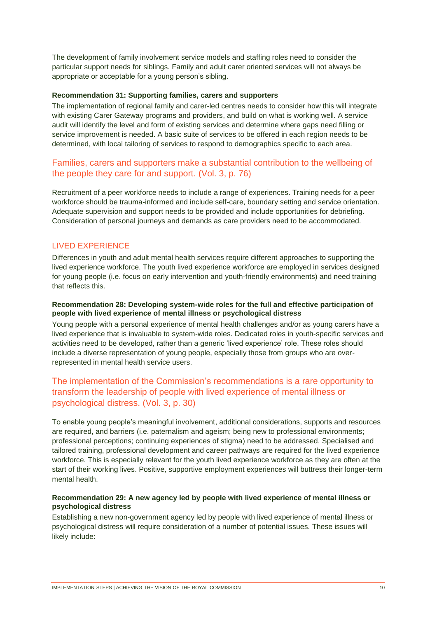The development of family involvement service models and staffing roles need to consider the particular support needs for siblings. Family and adult carer oriented services will not always be appropriate or acceptable for a young person's sibling.

#### **Recommendation 31: Supporting families, carers and supporters**

The implementation of regional family and carer-led centres needs to consider how this will integrate with existing Carer Gateway programs and providers, and build on what is working well. A service audit will identify the level and form of existing services and determine where gaps need filling or service improvement is needed. A basic suite of services to be offered in each region needs to be determined, with local tailoring of services to respond to demographics specific to each area.

# Families, carers and supporters make a substantial contribution to the wellbeing of the people they care for and support. (Vol. 3, p. 76)

Recruitment of a peer workforce needs to include a range of experiences. Training needs for a peer workforce should be trauma-informed and include self-care, boundary setting and service orientation. Adequate supervision and support needs to be provided and include opportunities for debriefing. Consideration of personal journeys and demands as care providers need to be accommodated.

#### <span id="page-9-0"></span>LIVED EXPERIENCE

Differences in youth and adult mental health services require different approaches to supporting the lived experience workforce. The youth lived experience workforce are employed in services designed for young people (i.e. focus on early intervention and youth-friendly environments) and need training that reflects this.

#### **Recommendation 28: Developing system-wide roles for the full and effective participation of people with lived experience of mental illness or psychological distress**

Young people with a personal experience of mental health challenges and/or as young carers have a lived experience that is invaluable to system-wide roles. Dedicated roles in youth-specific services and activities need to be developed, rather than a generic 'lived experience' role. These roles should include a diverse representation of young people, especially those from groups who are overrepresented in mental health service users.

# The implementation of the Commission's recommendations is a rare opportunity to transform the leadership of people with lived experience of mental illness or psychological distress. (Vol. 3, p. 30)

To enable young people's meaningful involvement, additional considerations, supports and resources are required, and barriers (i.e. paternalism and ageism; being new to professional environments; professional perceptions; continuing experiences of stigma) need to be addressed. Specialised and tailored training, professional development and career pathways are required for the lived experience workforce. This is especially relevant for the youth lived experience workforce as they are often at the start of their working lives. Positive, supportive employment experiences will buttress their longer-term mental health.

#### **Recommendation 29: A new agency led by people with lived experience of mental illness or psychological distress**

Establishing a new non-government agency led by people with lived experience of mental illness or psychological distress will require consideration of a number of potential issues. These issues will likely include: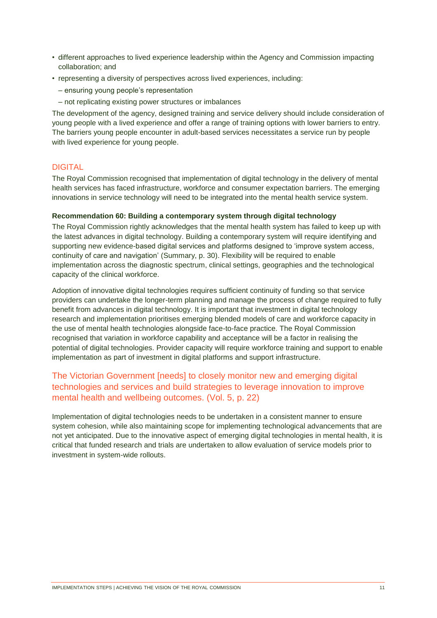- different approaches to lived experience leadership within the Agency and Commission impacting collaboration; and
- representing a diversity of perspectives across lived experiences, including:
	- ensuring young people's representation
	- not replicating existing power structures or imbalances

The development of the agency, designed training and service delivery should include consideration of young people with a lived experience and offer a range of training options with lower barriers to entry. The barriers young people encounter in adult-based services necessitates a service run by people with lived experience for young people.

#### <span id="page-10-0"></span>DIGITAL

The Royal Commission recognised that implementation of digital technology in the delivery of mental health services has faced infrastructure, workforce and consumer expectation barriers. The emerging innovations in service technology will need to be integrated into the mental health service system.

#### **Recommendation 60: Building a contemporary system through digital technology**

The Royal Commission rightly acknowledges that the mental health system has failed to keep up with the latest advances in digital technology. Building a contemporary system will require identifying and supporting new evidence-based digital services and platforms designed to 'improve system access, continuity of care and navigation' (Summary, p. 30). Flexibility will be required to enable implementation across the diagnostic spectrum, clinical settings, geographies and the technological capacity of the clinical workforce.

Adoption of innovative digital technologies requires sufficient continuity of funding so that service providers can undertake the longer-term planning and manage the process of change required to fully benefit from advances in digital technology. It is important that investment in digital technology research and implementation prioritises emerging blended models of care and workforce capacity in the use of mental health technologies alongside face-to-face practice. The Royal Commission recognised that variation in workforce capability and acceptance will be a factor in realising the potential of digital technologies. Provider capacity will require workforce training and support to enable implementation as part of investment in digital platforms and support infrastructure.

# The Victorian Government [needs] to closely monitor new and emerging digital technologies and services and build strategies to leverage innovation to improve mental health and wellbeing outcomes. (Vol. 5, p. 22)

Implementation of digital technologies needs to be undertaken in a consistent manner to ensure system cohesion, while also maintaining scope for implementing technological advancements that are not yet anticipated. Due to the innovative aspect of emerging digital technologies in mental health, it is critical that funded research and trials are undertaken to allow evaluation of service models prior to investment in system-wide rollouts.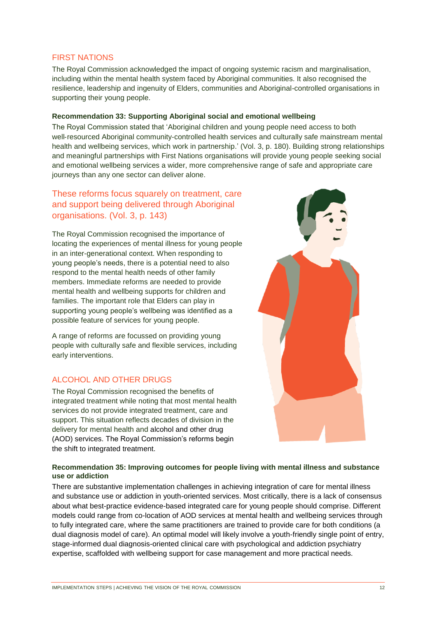#### <span id="page-11-0"></span>FIRST NATIONS

The Royal Commission acknowledged the impact of ongoing systemic racism and marginalisation, including within the mental health system faced by Aboriginal communities. It also recognised the resilience, leadership and ingenuity of Elders, communities and Aboriginal-controlled organisations in supporting their young people.

#### **Recommendation 33: Supporting Aboriginal social and emotional wellbeing**

The Royal Commission stated that 'Aboriginal children and young people need access to both well-resourced Aboriginal community-controlled health services and culturally safe mainstream mental health and wellbeing services, which work in partnership.' (Vol. 3, p. 180). Building strong relationships and meaningful partnerships with First Nations organisations will provide young people seeking social and emotional wellbeing services a wider, more comprehensive range of safe and appropriate care journeys than any one sector can deliver alone.

# These reforms focus squarely on treatment, care and support being delivered through Aboriginal organisations. (Vol. 3, p. 143)

The Royal Commission recognised the importance of locating the experiences of mental illness for young people in an inter-generational context. When responding to young people's needs, there is a potential need to also respond to the mental health needs of other family members. Immediate reforms are needed to provide mental health and wellbeing supports for children and families. The important role that Elders can play in supporting young people's wellbeing was identified as a possible feature of services for young people.

A range of reforms are focussed on providing young people with culturally safe and flexible services, including early interventions.

#### <span id="page-11-1"></span>ALCOHOL AND OTHER DRUGS

The Royal Commission recognised the benefits of integrated treatment while noting that most mental health services do not provide integrated treatment, care and support. This situation reflects decades of division in the delivery for mental health and alcohol and other drug (AOD) services. The Royal Commission's reforms begin the shift to integrated treatment.



#### **Recommendation 35: Improving outcomes for people living with mental illness and substance use or addiction**

There are substantive implementation challenges in achieving integration of care for mental illness and substance use or addiction in youth-oriented services. Most critically, there is a lack of consensus about what best-practice evidence-based integrated care for young people should comprise. Different models could range from co-location of AOD services at mental health and wellbeing services through to fully integrated care, where the same practitioners are trained to provide care for both conditions (a dual diagnosis model of care). An optimal model will likely involve a youth-friendly single point of entry, stage-informed dual diagnosis-oriented clinical care with psychological and addiction psychiatry expertise, scaffolded with wellbeing support for case management and more practical needs.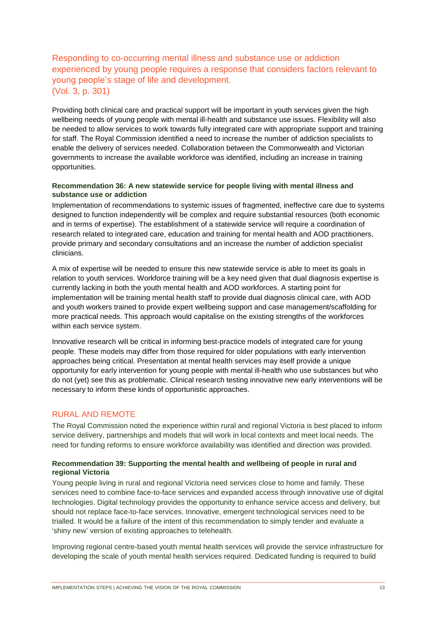# Responding to co‑occurring mental illness and substance use or addiction experienced by young people requires a response that considers factors relevant to young people's stage of life and development. (Vol. 3, p. 301)

Providing both clinical care and practical support will be important in youth services given the high wellbeing needs of young people with mental ill-health and substance use issues. Flexibility will also be needed to allow services to work towards fully integrated care with appropriate support and training for staff. The Royal Commission identified a need to increase the number of addiction specialists to enable the delivery of services needed. Collaboration between the Commonwealth and Victorian governments to increase the available workforce was identified, including an increase in training opportunities.

#### **Recommendation 36: A new statewide service for people living with mental illness and substance use or addiction**

Implementation of recommendations to systemic issues of fragmented, ineffective care due to systems designed to function independently will be complex and require substantial resources (both economic and in terms of expertise). The establishment of a statewide service will require a coordination of research related to integrated care, education and training for mental health and AOD practitioners, provide primary and secondary consultations and an increase the number of addiction specialist clinicians.

A mix of expertise will be needed to ensure this new statewide service is able to meet its goals in relation to youth services. Workforce training will be a key need given that dual diagnosis expertise is currently lacking in both the youth mental health and AOD workforces. A starting point for implementation will be training mental health staff to provide dual diagnosis clinical care, with AOD and youth workers trained to provide expert wellbeing support and case management/scaffolding for more practical needs. This approach would capitalise on the existing strengths of the workforces within each service system.

Innovative research will be critical in informing best-practice models of integrated care for young people. These models may differ from those required for older populations with early intervention approaches being critical. Presentation at mental health services may itself provide a unique opportunity for early intervention for young people with mental ill-health who use substances but who do not (yet) see this as problematic. Clinical research testing innovative new early interventions will be necessary to inform these kinds of opportunistic approaches.

# <span id="page-12-0"></span>RURAL AND REMOTE

The Royal Commission noted the experience within rural and regional Victoria is best placed to inform service delivery, partnerships and models that will work in local contexts and meet local needs. The need for funding reforms to ensure workforce availability was identified and direction was provided.

#### **Recommendation 39: Supporting the mental health and wellbeing of people in rural and regional Victoria**

Young people living in rural and regional Victoria need services close to home and family. These services need to combine face-to-face services and expanded access through innovative use of digital technologies. Digital technology provides the opportunity to enhance service access and delivery, but should not replace face-to-face services. Innovative, emergent technological services need to be trialled. It would be a failure of the intent of this recommendation to simply tender and evaluate a 'shiny new' version of existing approaches to telehealth.

Improving regional centre-based youth mental health services will provide the service infrastructure for developing the scale of youth mental health services required. Dedicated funding is required to build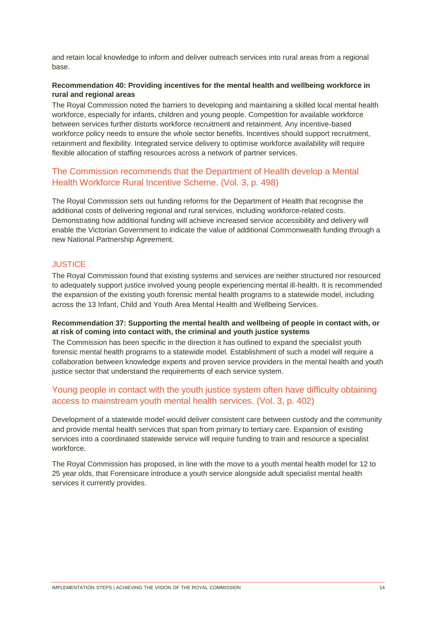and retain local knowledge to inform and deliver outreach services into rural areas from a regional base.

#### **Recommendation 40: Providing incentives for the mental health and wellbeing workforce in rural and regional areas**

The Royal Commission noted the barriers to developing and maintaining a skilled local mental health workforce, especially for infants, children and young people. Competition for available workforce between services further distorts workforce recruitment and retainment. Any incentive-based workforce policy needs to ensure the whole sector benefits. Incentives should support recruitment, retainment and flexibility. Integrated service delivery to optimise workforce availability will require flexible allocation of staffing resources across a network of partner services.

### The Commission recommends that the Department of Health develop a Mental Health Workforce Rural Incentive Scheme. (Vol. 3, p. 498)

The Royal Commission sets out funding reforms for the Department of Health that recognise the additional costs of delivering regional and rural services, including workforce-related costs. Demonstrating how additional funding will achieve increased service accessibility and delivery will enable the Victorian Government to indicate the value of additional Commonwealth funding through a new National Partnership Agreement.

#### <span id="page-13-0"></span>**JUSTICE**

The Royal Commission found that existing systems and services are neither structured nor resourced to adequately support justice involved young people experiencing mental ill-health. It is recommended the expansion of the existing youth forensic mental health programs to a statewide model, including across the 13 Infant, Child and Youth Area Mental Health and Wellbeing Services.

#### **Recommendation 37: Supporting the mental health and wellbeing of people in contact with, or at risk of coming into contact with, the criminal and youth justice systems**

The Commission has been specific in the direction it has outlined to expand the specialist youth forensic mental health programs to a statewide model. Establishment of such a model will require a collaboration between knowledge experts and proven service providers in the mental health and youth justice sector that understand the requirements of each service system.

# Young people in contact with the youth justice system often have difficulty obtaining access to mainstream youth mental health services. (Vol. 3, p. 402)

Development of a statewide model would deliver consistent care between custody and the community and provide mental health services that span from primary to tertiary care. Expansion of existing services into a coordinated statewide service will require funding to train and resource a specialist workforce.

The Royal Commission has proposed, in line with the move to a youth mental health model for 12 to 25 year olds, that Forensicare introduce a youth service alongside adult specialist mental health services it currently provides.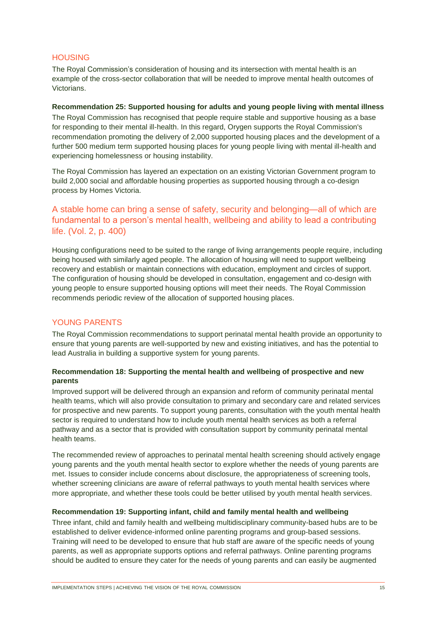#### <span id="page-14-0"></span>**HOUSING**

The Royal Commission's consideration of housing and its intersection with mental health is an example of the cross-sector collaboration that will be needed to improve mental health outcomes of Victorians.

#### **Recommendation 25: Supported housing for adults and young people living with mental illness**

The Royal Commission has recognised that people require stable and supportive housing as a base for responding to their mental ill-health. In this regard, Orygen supports the Royal Commission's recommendation promoting the delivery of 2,000 supported housing places and the development of a further 500 medium term supported housing places for young people living with mental ill-health and experiencing homelessness or housing instability.

The Royal Commission has layered an expectation on an existing Victorian Government program to build 2,000 social and affordable housing properties as supported housing through a co-design process by Homes Victoria.

# A stable home can bring a sense of safety, security and belonging—all of which are fundamental to a person's mental health, wellbeing and ability to lead a contributing life. (Vol. 2, p. 400)

Housing configurations need to be suited to the range of living arrangements people require, including being housed with similarly aged people. The allocation of housing will need to support wellbeing recovery and establish or maintain connections with education, employment and circles of support. The configuration of housing should be developed in consultation, engagement and co-design with young people to ensure supported housing options will meet their needs. The Royal Commission recommends periodic review of the allocation of supported housing places.

#### <span id="page-14-1"></span>YOUNG PARENTS

The Royal Commission recommendations to support perinatal mental health provide an opportunity to ensure that young parents are well-supported by new and existing initiatives, and has the potential to lead Australia in building a supportive system for young parents.

#### **Recommendation 18: Supporting the mental health and wellbeing of prospective and new parents**

Improved support will be delivered through an expansion and reform of community perinatal mental health teams, which will also provide consultation to primary and secondary care and related services for prospective and new parents. To support young parents, consultation with the youth mental health sector is required to understand how to include youth mental health services as both a referral pathway and as a sector that is provided with consultation support by community perinatal mental health teams.

The recommended review of approaches to perinatal mental health screening should actively engage young parents and the youth mental health sector to explore whether the needs of young parents are met. Issues to consider include concerns about disclosure, the appropriateness of screening tools, whether screening clinicians are aware of referral pathways to youth mental health services where more appropriate, and whether these tools could be better utilised by youth mental health services.

#### **Recommendation 19: Supporting infant, child and family mental health and wellbeing**

Three infant, child and family health and wellbeing multidisciplinary community-based hubs are to be established to deliver evidence-informed online parenting programs and group-based sessions. Training will need to be developed to ensure that hub staff are aware of the specific needs of young parents, as well as appropriate supports options and referral pathways. Online parenting programs should be audited to ensure they cater for the needs of young parents and can easily be augmented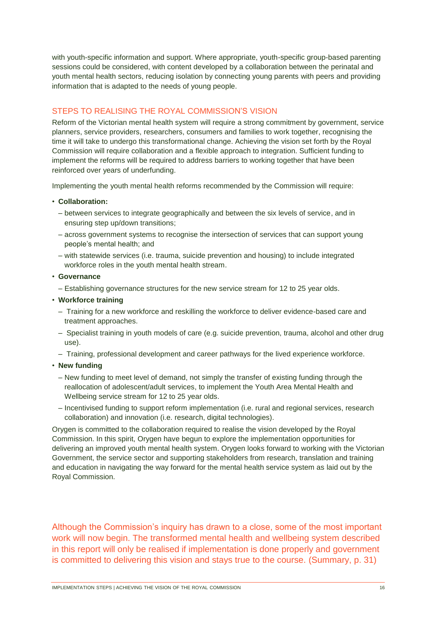with youth-specific information and support. Where appropriate, youth-specific group-based parenting sessions could be considered, with content developed by a collaboration between the perinatal and youth mental health sectors, reducing isolation by connecting young parents with peers and providing information that is adapted to the needs of young people.

# <span id="page-15-0"></span>STEPS TO REALISING THE ROYAL COMMISSION'S VISION

Reform of the Victorian mental health system will require a strong commitment by government, service planners, service providers, researchers, consumers and families to work together, recognising the time it will take to undergo this transformational change. Achieving the vision set forth by the Royal Commission will require collaboration and a flexible approach to integration. Sufficient funding to implement the reforms will be required to address barriers to working together that have been reinforced over years of underfunding.

Implementing the youth mental health reforms recommended by the Commission will require:

#### • **Collaboration:**

- between services to integrate geographically and between the six levels of service, and in ensuring step up/down transitions;
- across government systems to recognise the intersection of services that can support young people's mental health; and
- with statewide services (i.e. trauma, suicide prevention and housing) to include integrated workforce roles in the youth mental health stream.
- **Governance**
	- Establishing governance structures for the new service stream for 12 to 25 year olds.
- **Workforce training**
	- Training for a new workforce and reskilling the workforce to deliver evidence-based care and treatment approaches.
	- Specialist training in youth models of care (e.g. suicide prevention, trauma, alcohol and other drug use).
	- Training, professional development and career pathways for the lived experience workforce.
- **New funding**
	- New funding to meet level of demand, not simply the transfer of existing funding through the reallocation of adolescent/adult services, to implement the Youth Area Mental Health and Wellbeing service stream for 12 to 25 year olds.
	- Incentivised funding to support reform implementation (i.e. rural and regional services, research collaboration) and innovation (i.e. research, digital technologies).

Orygen is committed to the collaboration required to realise the vision developed by the Royal Commission. In this spirit, Orygen have begun to explore the implementation opportunities for delivering an improved youth mental health system. Orygen looks forward to working with the Victorian Government, the service sector and supporting stakeholders from research, translation and training and education in navigating the way forward for the mental health service system as laid out by the Royal Commission.

Although the Commission's inquiry has drawn to a close, some of the most important work will now begin. The transformed mental health and wellbeing system described in this report will only be realised if implementation is done properly and government is committed to delivering this vision and stays true to the course. (Summary, p. 31)